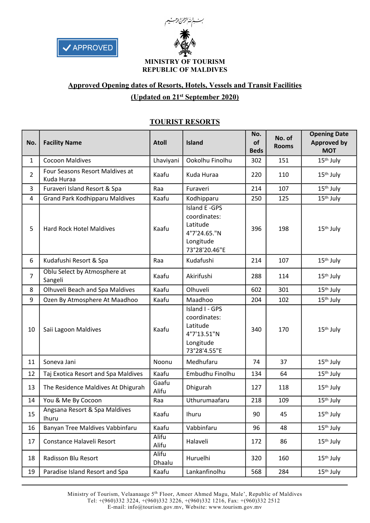



# **Approved Opening dates of Resorts, Hotels, Vessels and Transit Facilities (Updated on 21st September 2020)**

| No.            | <b>Facility Name</b>                          | <b>Atoll</b>    | Island                                                                                   | No.<br>of<br><b>Beds</b> | No. of<br><b>Rooms</b> | <b>Opening Date</b><br><b>Approved by</b><br><b>MOT</b> |
|----------------|-----------------------------------------------|-----------------|------------------------------------------------------------------------------------------|--------------------------|------------------------|---------------------------------------------------------|
| $\mathbf{1}$   | <b>Cocoon Maldives</b>                        | Lhaviyani       | Ookolhu Finolhu                                                                          | 302                      | 151                    | $15th$ July                                             |
| $\overline{2}$ | Four Seasons Resort Maldives at<br>Kuda Huraa | Kaafu           | Kuda Huraa                                                                               | 220                      | 110                    | $15th$ July                                             |
| 3              | Furaveri Island Resort & Spa                  | Raa             | Furaveri                                                                                 | 214                      | 107                    | 15 <sup>th</sup> July                                   |
| $\overline{4}$ | <b>Grand Park Kodhipparu Maldives</b>         | Kaafu           | Kodhipparu                                                                               | 250                      | 125                    | 15 <sup>th</sup> July                                   |
| 5              | <b>Hard Rock Hotel Maldives</b>               | Kaafu           | Island E - GPS<br>coordinates:<br>Latitude<br>4°7'24.65."N<br>Longitude<br>73°28'20.46"E | 396                      | 198                    | 15 <sup>th</sup> July                                   |
| 6              | Kudafushi Resort & Spa                        | Raa             | Kudafushi                                                                                | 214                      | 107                    | 15 <sup>th</sup> July                                   |
| $\overline{7}$ | Oblu Select by Atmosphere at<br>Sangeli       | Kaafu           | Akirifushi                                                                               | 288                      |                        | 15 <sup>th</sup> July                                   |
| 8              | Olhuveli Beach and Spa Maldives               | Kaafu           | Olhuveli                                                                                 | 602                      | 301                    | 15 <sup>th</sup> July                                   |
| 9              | Ozen By Atmosphere At Maadhoo                 | Kaafu           | Maadhoo                                                                                  | 204                      | 102                    | 15 <sup>th</sup> July                                   |
| 10             | Saii Lagoon Maldives                          | Kaafu           | Island I - GPS<br>coordinates:<br>Latitude<br>4°7'13.51"N<br>Longitude<br>73°28'4.55"E   | 340                      | 170                    | 15 <sup>th</sup> July                                   |
| 11             | Soneva Jani                                   | Noonu           | Medhufaru                                                                                | 74                       | 37                     | $15th$ July                                             |
| 12             | Taj Exotica Resort and Spa Maldives           | Kaafu           | Embudhu Finolhu                                                                          | 134                      | 64                     | 15 <sup>th</sup> July                                   |
| 13             | The Residence Maldives At Dhigurah            | Gaafu<br>Alifu  | Dhigurah                                                                                 | 127                      | 118                    | 15 <sup>th</sup> July                                   |
| 14             | You & Me By Cocoon                            | Raa             | Uthurumaafaru                                                                            | 218                      | 109                    | $\overline{15}$ <sup>th</sup> July                      |
| 15             | Angsana Resort & Spa Maldives<br>Ihuru        | Kaafu           | Ihuru                                                                                    | 90                       | 45                     | 15 <sup>th</sup> July                                   |
| 16             | Banyan Tree Maldives Vabbinfaru               | Kaafu           | Vabbinfaru                                                                               | 96                       | 48                     | 15 <sup>th</sup> July                                   |
| 17             | Constance Halaveli Resort                     | Alifu<br>Alifu  | Halaveli                                                                                 | 172                      | 86                     | 15 <sup>th</sup> July                                   |
| 18             | Radisson Blu Resort                           | Alifu<br>Dhaalu | Huruelhi                                                                                 | 320                      | 160                    | 15 <sup>th</sup> July                                   |
| 19             | Paradise Island Resort and Spa                | Kaafu           | Lankanfinolhu                                                                            | 568                      | 284                    | 15 <sup>th</sup> July                                   |

# **TOURIST RESORTS**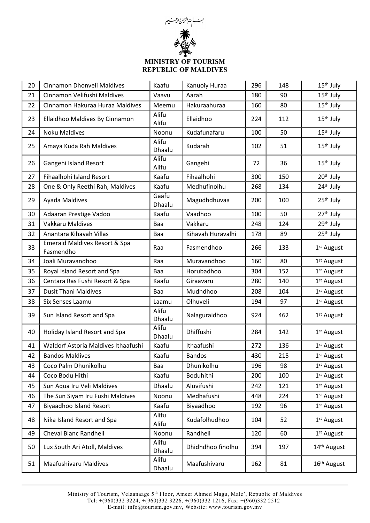

| 20 | Cinnamon Dhonveli Maldives                            | Kaafu           | Kanuoiy Huraa     | 296 | 148 | 15 <sup>th</sup> July   |
|----|-------------------------------------------------------|-----------------|-------------------|-----|-----|-------------------------|
| 21 | Cinnamon Velifushi Maldives                           | Vaavu           | Aarah             | 180 | 90  | 15 <sup>th</sup> July   |
| 22 | Cinnamon Hakuraa Huraa Maldives                       | Meemu           | Hakuraahuraa      | 160 | 80  | 15 <sup>th</sup> July   |
| 23 | Ellaidhoo Maldives By Cinnamon                        | Alifu<br>Alifu  | Ellaidhoo         | 224 | 112 | 15 <sup>th</sup> July   |
| 24 | <b>Noku Maldives</b>                                  | Noonu           | Kudafunafaru      | 100 | 50  | 15 <sup>th</sup> July   |
| 25 | Amaya Kuda Rah Maldives                               | Alifu<br>Dhaalu | Kudarah           | 102 | 51  | 15 <sup>th</sup> July   |
| 26 | Gangehi Island Resort                                 | Alifu<br>Alifu  | Gangehi           | 72  | 36  | 15 <sup>th</sup> July   |
| 27 | Fihaalhohi Island Resort                              | Kaafu           | Fihaalhohi        | 300 | 150 | 20 <sup>th</sup> July   |
| 28 | One & Only Reethi Rah, Maldives                       | Kaafu           | Medhufinolhu      | 268 | 134 | 24 <sup>th</sup> July   |
| 29 | Ayada Maldives                                        | Gaafu<br>Dhaalu | Magudhdhuvaa      | 200 | 100 | 25 <sup>th</sup> July   |
| 30 | Adaaran Prestige Vadoo                                | Kaafu           | Vaadhoo           | 100 | 50  | 27 <sup>th</sup> July   |
| 31 | <b>Vakkaru Maldives</b>                               | Baa             | Vakkaru           | 248 | 124 | 29th July               |
| 32 | Anantara Kihavah Villas                               | Baa             | Kihavah Huravalhi | 178 | 89  | 25 <sup>th</sup> July   |
| 33 | <b>Emerald Maldives Resort &amp; Spa</b><br>Fasmendho | Raa             | Fasmendhoo        | 266 | 133 | 1 <sup>st</sup> August  |
| 34 | Joali Muravandhoo                                     | Raa             | Muravandhoo       | 160 | 80  | 1 <sup>st</sup> August  |
| 35 | Royal Island Resort and Spa                           | Baa             | Horubadhoo        | 304 | 152 | 1 <sup>st</sup> August  |
| 36 | Centara Ras Fushi Resort & Spa                        | Kaafu           | Giraavaru         | 280 | 140 | 1 <sup>st</sup> August  |
| 37 | <b>Dusit Thani Maldives</b>                           | Baa             | Mudhdhoo          | 208 | 104 | 1 <sup>st</sup> August  |
| 38 | Six Senses Laamu                                      | Laamu           | Olhuveli          | 194 | 97  | 1 <sup>st</sup> August  |
| 39 | Sun Island Resort and Spa                             | Alifu<br>Dhaalu | Nalaguraidhoo     | 924 | 462 | 1 <sup>st</sup> August  |
| 40 | Holiday Island Resort and Spa                         | Alifu<br>Dhaalu | Dhiffushi         | 284 | 142 | 1 <sup>st</sup> August  |
| 41 | Waldorf Astoria Maldives Ithaafushi                   | Kaafu           | Ithaafushi        | 272 | 136 | 1 <sup>st</sup> August  |
| 42 | <b>Bandos Maldives</b>                                | Kaafu           | <b>Bandos</b>     | 430 | 215 | 1 <sup>st</sup> August  |
| 43 | Coco Palm Dhunikolhu                                  | Baa             | Dhunikolhu        | 196 | 98  | 1 <sup>st</sup> August  |
| 44 | Coco Bodu Hithi                                       | Kaafu           | Boduhithi         | 200 | 100 | 1 <sup>st</sup> August  |
| 45 | Sun Aqua Iru Veli Maldives                            | Dhaalu          | Aluvifushi        | 242 | 121 | 1 <sup>st</sup> August  |
| 46 | The Sun Siyam Iru Fushi Maldives                      | Noonu           | Medhafushi        | 448 | 224 | 1 <sup>st</sup> August  |
| 47 | Biyaadhoo Island Resort                               | Kaafu           | Biyaadhoo         | 192 | 96  | 1 <sup>st</sup> August  |
| 48 | Nika Island Resort and Spa                            | Alifu<br>Alifu  | Kudafolhudhoo     | 104 | 52  | 1 <sup>st</sup> August  |
| 49 | Cheval Blanc Randheli                                 | Noonu           | Randheli          | 120 | 60  | 1 <sup>st</sup> August  |
| 50 | Lux South Ari Atoll, Maldives                         | Alifu<br>Dhaalu | Dhidhdhoo finolhu | 394 | 197 | 14th August             |
| 51 | <b>Maafushivaru Maldives</b>                          | Alifu<br>Dhaalu | Maafushivaru      | 162 | 81  | 16 <sup>th</sup> August |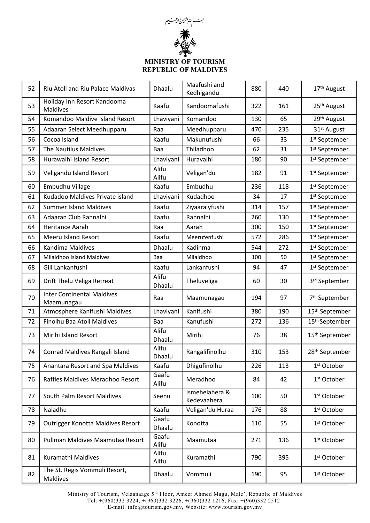

| 52 | Riu Atoll and Riu Palace Maldivas               | Dhaalu          | Maafushi and<br>Kedhigandu    | 880 | 440 | 17th August                |
|----|-------------------------------------------------|-----------------|-------------------------------|-----|-----|----------------------------|
| 53 | Holiday Inn Resort Kandooma<br><b>Maldives</b>  | Kaafu           | Kandoomafushi                 | 322 | 161 | 25 <sup>th</sup> August    |
| 54 | Komandoo Maldive Island Resort                  | Lhaviyani       | Komandoo                      | 130 | 65  | 29th August                |
| 55 | Adaaran Select Meedhupparu                      | Raa             | Meedhupparu                   | 470 | 235 | 31 <sup>st</sup> August    |
| 56 | Cocoa Island                                    | Kaafu           | Makunufushi                   | 66  | 33  | 1 <sup>st</sup> September  |
| 57 | The Nautilus Maldives                           | Baa             | Thiladhoo                     | 62  | 31  | 1 <sup>st</sup> September  |
| 58 | Hurawalhi Island Resort                         | Lhaviyani       | Huravalhi                     | 180 | 90  | 1 <sup>st</sup> September  |
| 59 | Veligandu Island Resort                         | Alifu<br>Alifu  | Veligan'du                    | 182 | 91  | 1 <sup>st</sup> September  |
| 60 | Embudhu Village                                 | Kaafu           | Embudhu                       | 236 | 118 | 1 <sup>st</sup> September  |
| 61 | Kudadoo Maldives Private island                 | Lhaviyani       | Kudadhoo                      | 34  | 17  | 1 <sup>st</sup> September  |
| 62 | <b>Summer Island Maldives</b>                   | Kaafu           | Ziyaaraiyfushi                | 314 | 157 | 1 <sup>st</sup> September  |
| 63 | Adaaran Club Rannalhi                           | Kaafu           | Rannalhi                      | 260 | 130 | 1 <sup>st</sup> September  |
| 64 | Heritance Aarah                                 | Raa             | Aarah                         | 300 | 150 | 1 <sup>st</sup> September  |
| 65 | <b>Meeru Island Resort</b>                      | Kaafu           | Meerufenfushi                 | 572 | 286 | 1 <sup>st</sup> September  |
| 66 | Kandima Maldives                                | Dhaalu          | Kadinma                       | 544 | 272 | 1 <sup>st</sup> September  |
| 67 | Milaidhoo Island Maldives                       | Baa             | Milaidhoo                     | 100 | 50  | 1 <sup>st</sup> September  |
| 68 | Gili Lankanfushi                                | Kaafu           | Lankanfushi                   | 94  | 47  | 1 <sup>st</sup> September  |
| 69 | Drift Thelu Veliga Retreat                      | Alifu<br>Dhaalu | Theluveliga                   | 60  | 30  | 3rd September              |
| 70 | <b>Inter Continental Maldives</b><br>Maamunagau | Raa             | Maamunagau                    | 194 | 97  | 7 <sup>th</sup> September  |
| 71 | Atmosphere Kanifushi Maldives                   | Lhaviyani       | Kanifushi                     | 380 | 190 | 15 <sup>th</sup> September |
| 72 | Finolhu Baa Atoll Maldives                      | Baa             | Kanufushi                     | 272 | 136 | 15 <sup>th</sup> September |
| 73 | Mirihi Island Resort                            | Alifu<br>Dhaalu | Mirihi                        | 76  | 38  | 15 <sup>th</sup> September |
| 74 | Conrad Maldives Rangali Island                  | Alifu<br>Dhaalu | Rangalifinolhu                | 310 | 153 | 28 <sup>th</sup> September |
| 75 | Anantara Resort and Spa Maldives                | Kaafu           | Dhigufinolhu                  | 226 | 113 | 1 <sup>st</sup> October    |
| 76 | Raffles Maldives Meradhoo Resort                | Gaafu<br>Alifu  | Meradhoo                      | 84  | 42  | 1 <sup>st</sup> October    |
| 77 | South Palm Resort Maldives                      | Seenu           | Ismehelahera &<br>Kedevaahera | 100 | 50  | 1 <sup>st</sup> October    |
| 78 | Naladhu                                         | Kaafu           | Veligan'du Huraa              | 176 | 88  | 1 <sup>st</sup> October    |
| 79 | Outrigger Konotta Maldives Resort               | Gaafu<br>Dhaalu | Konotta                       | 110 | 55  | 1 <sup>st</sup> October    |
| 80 | Pullman Maldives Maamutaa Resort                | Gaafu<br>Alifu  | Maamutaa                      | 271 | 136 | 1 <sup>st</sup> October    |
| 81 | Kuramathi Maldives                              | Alifu<br>Alifu  | Kuramathi                     | 790 | 395 | 1 <sup>st</sup> October    |
| 82 | The St. Regis Vommuli Resort,<br>Maldives       | Dhaalu          | Vommuli                       | 190 | 95  | 1 <sup>st</sup> October    |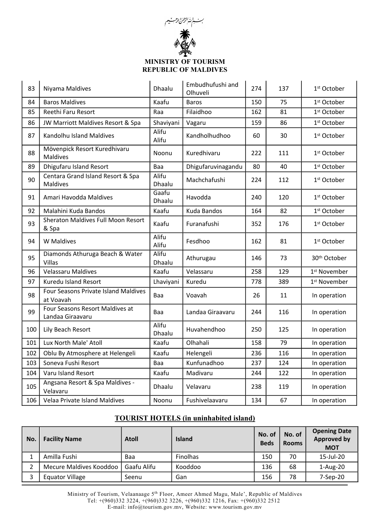

| 83  | Niyama Maldives                                      | Dhaalu          | Embudhufushi and<br>Olhuveli | 274 | 137 | 1 <sup>st</sup> October  |
|-----|------------------------------------------------------|-----------------|------------------------------|-----|-----|--------------------------|
| 84  | <b>Baros Maldives</b>                                | Kaafu           | <b>Baros</b><br>150          |     | 75  | 1 <sup>st</sup> October  |
| 85  | Reethi Faru Resort                                   | Raa             | Filaidhoo                    | 162 | 81  | 1 <sup>st</sup> October  |
| 86  | JW Marriott Maldives Resort & Spa                    | Shaviyani       | Vagaru                       | 159 | 86  | 1 <sup>st</sup> October  |
| 87  | Kandolhu Island Maldives                             | Alifu<br>Alifu  | Kandholhudhoo                | 60  | 30  | 1 <sup>st</sup> October  |
| 88  | Mövenpick Resort Kuredhivaru<br><b>Maldives</b>      | Noonu           | Kuredhivaru                  | 222 | 111 | 1 <sup>st</sup> October  |
| 89  | Dhigufaru Island Resort                              | Baa             | Dhigufaruvinagandu           | 80  | 40  | 1 <sup>st</sup> October  |
| 90  | Centara Grand Island Resort & Spa<br><b>Maldives</b> | Alifu<br>Dhaalu | Machchafushi                 | 224 | 112 | 1 <sup>st</sup> October  |
| 91  | Amari Havodda Maldives                               | Gaafu<br>Dhaalu | Havodda                      | 240 | 120 | 1 <sup>st</sup> October  |
| 92  | Malahini Kuda Bandos                                 | Kaafu           | Kuda Bandos                  | 164 | 82  | 1 <sup>st</sup> October  |
| 93  | <b>Sheraton Maldives Full Moon Resort</b><br>& Spa   | Kaafu           | Furanafushi                  | 352 | 176 | 1 <sup>st</sup> October  |
| 94  | <b>W</b> Maldives                                    | Alifu<br>Alifu  | Fesdhoo                      | 162 | 81  | 1 <sup>st</sup> October  |
| 95  | Diamonds Athuruga Beach & Water<br>Villas            | Alifu<br>Dhaalu | Athurugau                    | 146 | 73  | 30 <sup>th</sup> October |
| 96  | <b>Velassaru Maldives</b>                            | Kaafu           | Velassaru                    | 258 | 129 | 1 <sup>st</sup> November |
| 97  | <b>Kuredu Island Resort</b>                          | Lhaviyani       | Kuredu                       | 778 | 389 | 1 <sup>st</sup> November |
| 98  | Four Seasons Private Island Maldives<br>at Voavah    | Baa             | Voavah                       | 26  | 11  | In operation             |
| 99  | Four Seasons Resort Maldives at<br>Landaa Giraavaru  | Baa             | Landaa Giraavaru             | 244 | 116 | In operation             |
| 100 | Lily Beach Resort                                    | Alifu<br>Dhaalu | Huvahendhoo                  | 250 | 125 | In operation             |
| 101 | Lux North Male' Atoll                                | Kaafu           | Olhahali                     | 158 | 79  | In operation             |
| 102 | Oblu By Atmosphere at Helengeli                      | Kaafu           | Helengeli                    | 236 | 116 | In operation             |
| 103 | Soneva Fushi Resort                                  | Baa             | Kunfunadhoo                  | 237 | 124 | In operation             |
| 104 | Varu Island Resort                                   | Kaafu           | Madivaru                     | 244 | 122 | In operation             |
| 105 | Angsana Resort & Spa Maldives -<br>Velavaru          | Dhaalu          | Velavaru                     | 238 | 119 | In operation             |
| 106 | Velaa Private Island Maldives                        | Noonu           | Fushivelaavaru               | 134 | 67  | In operation             |

# **TOURIST HOTELS (in uninhabited island)**

| No. | <b>Facility Name</b>    | <b>Atoll</b> | <b>Island</b>   | No. of<br><b>Beds</b> | No. of<br><b>Rooms</b> | <b>Opening Date</b><br><b>Approved by</b><br><b>MOT</b> |
|-----|-------------------------|--------------|-----------------|-----------------------|------------------------|---------------------------------------------------------|
|     | Amilla Fushi            | Baa          | <b>Finolhas</b> | 150                   | 70                     | 15-Jul-20                                               |
| 2   | Mecure Maldives Kooddoo | Gaafu Alifu  | Kooddoo         | 136                   | 68                     | $1-Aug-20$                                              |
| 3   | <b>Equator Village</b>  | Seenu        | Gan             | 156                   | 78                     | 7-Sep-20                                                |

Ministry of Tourism, Velaanaage 5th Floor, Ameer Ahmed Magu, Male', Republic of Maldives Tel: +(960)332 3224, +(960)332 3226, +(960)332 1216, Fax: +(960)332 2512

E-mail: info@tourism.gov.mv, Website: www.tourism.gov.mv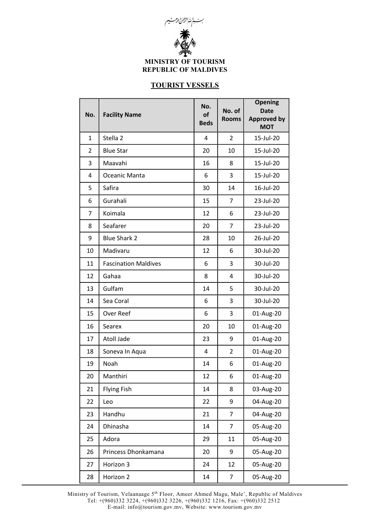

# **TOURIST VESSELS**

| No.            | <b>Facility Name</b>        | No.<br>of<br><b>Beds</b> | No. of<br><b>Rooms</b> | <b>Opening</b><br><b>Date</b><br><b>Approved by</b><br><b>MOT</b> |
|----------------|-----------------------------|--------------------------|------------------------|-------------------------------------------------------------------|
| $\mathbf{1}$   | Stella <sub>2</sub>         | 4                        | $\overline{2}$         | 15-Jul-20                                                         |
| $\overline{2}$ | <b>Blue Star</b>            | 20                       | 10                     | 15-Jul-20                                                         |
| 3              | Maavahi                     | 16                       | 8                      | 15-Jul-20                                                         |
| 4              | Oceanic Manta               | 6                        | 3                      | 15-Jul-20                                                         |
| 5              | Safira                      | 30                       | 14                     | 16-Jul-20                                                         |
| 6              | Gurahali                    | 15                       | 7                      | 23-Jul-20                                                         |
| 7              | Koimala                     | 12                       | 6                      | 23-Jul-20                                                         |
| 8              | Seafarer                    | 20                       | $\overline{7}$         | 23-Jul-20                                                         |
| 9              | <b>Blue Shark 2</b>         | 28                       | 10                     | 26-Jul-20                                                         |
| 10             | Madivaru                    | 12                       | 6                      | 30-Jul-20                                                         |
| 11             | <b>Fascination Maldives</b> | 6                        | 3                      | 30-Jul-20                                                         |
| 12             | Gahaa                       | 8                        | 4                      | 30-Jul-20                                                         |
| 13             | Gulfam                      | 14                       | 5                      | 30-Jul-20                                                         |
| 14             | Sea Coral                   | 6                        | 3                      | 30-Jul-20                                                         |
| 15             | Over Reef                   | 6                        | 3                      | 01-Aug-20                                                         |
| 16             | Searex                      | 20                       | 10                     | 01-Aug-20                                                         |
| 17             | <b>Atoll Jade</b>           | 23                       | 9                      | 01-Aug-20                                                         |
| 18             | Soneva In Aqua              | 4                        | $\overline{2}$         | 01-Aug-20                                                         |
| 19             | Noah                        | 14                       | 6                      | 01-Aug-20                                                         |
| 20             | Manthiri                    | 12                       | 6                      | 01-Aug-20                                                         |
| 21             | <b>Flying Fish</b>          | 14                       | 8                      | 03-Aug-20                                                         |
| 22             | Leo                         | 22                       | 9                      | 04-Aug-20                                                         |
| 23             | Handhu                      | 21                       | $\overline{7}$         | 04-Aug-20                                                         |
| 24             | Dhinasha                    | 14                       | $\overline{7}$         | 05-Aug-20                                                         |
| 25             | Adora                       | 29                       | 11                     | 05-Aug-20                                                         |
| 26             | Princess Dhonkamana         | 20                       | 9                      | 05-Aug-20                                                         |
| 27             | Horizon 3                   | 24                       | 12                     | 05-Aug-20                                                         |
| 28             | Horizon 2                   | 14                       | $\overline{7}$         | 05-Aug-20                                                         |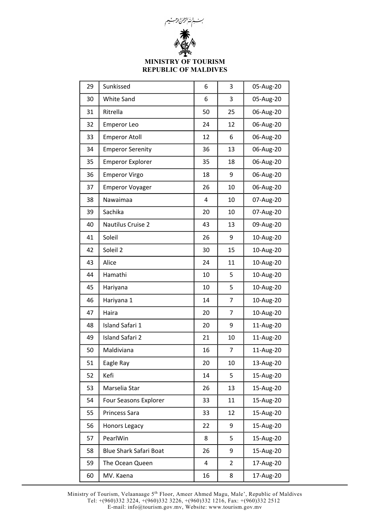

| 29 | Sunkissed                     | 6  | 3  | 05-Aug-20 |
|----|-------------------------------|----|----|-----------|
| 30 | <b>White Sand</b>             | 6  | 3  | 05-Aug-20 |
| 31 | Ritrella                      | 50 | 25 | 06-Aug-20 |
| 32 | <b>Emperor Leo</b>            | 24 | 12 | 06-Aug-20 |
| 33 | <b>Emperor Atoll</b>          | 12 | 6  | 06-Aug-20 |
| 34 | <b>Emperor Serenity</b>       | 36 | 13 | 06-Aug-20 |
| 35 | <b>Emperor Explorer</b>       | 35 | 18 | 06-Aug-20 |
| 36 | <b>Emperor Virgo</b>          | 18 | 9  | 06-Aug-20 |
| 37 | <b>Emperor Voyager</b>        | 26 | 10 | 06-Aug-20 |
| 38 | Nawaimaa                      | 4  | 10 | 07-Aug-20 |
| 39 | Sachika                       | 20 | 10 | 07-Aug-20 |
| 40 | Nautilus Cruise 2             | 43 | 13 | 09-Aug-20 |
| 41 | Soleil                        | 26 | 9  | 10-Aug-20 |
| 42 | Soleil 2                      | 30 | 15 | 10-Aug-20 |
| 43 | Alice                         | 24 | 11 | 10-Aug-20 |
| 44 | Hamathi                       | 10 | 5  | 10-Aug-20 |
| 45 | Hariyana                      | 10 | 5  | 10-Aug-20 |
| 46 | Hariyana 1                    | 14 | 7  | 10-Aug-20 |
| 47 | Haira                         | 20 | 7  | 10-Aug-20 |
| 48 | Island Safari 1               | 20 | 9  | 11-Aug-20 |
| 49 | Island Safari 2               | 21 | 10 | 11-Aug-20 |
| 50 | Maldiviana                    | 16 | 7  | 11-Aug-20 |
| 51 | Eagle Ray                     | 20 | 10 | 13-Aug-20 |
| 52 | Kefi                          | 14 | 5  | 15-Aug-20 |
| 53 | Marselia Star                 | 26 | 13 | 15-Aug-20 |
| 54 | Four Seasons Explorer         | 33 | 11 | 15-Aug-20 |
| 55 | <b>Princess Sara</b>          | 33 | 12 | 15-Aug-20 |
| 56 | Honors Legacy                 | 22 | 9  | 15-Aug-20 |
| 57 | PearlWin                      | 8  | 5  | 15-Aug-20 |
| 58 | <b>Blue Shark Safari Boat</b> | 26 | 9  | 15-Aug-20 |
| 59 | The Ocean Queen               | 4  | 2  | 17-Aug-20 |
| 60 | MV. Kaena                     | 16 | 8  | 17-Aug-20 |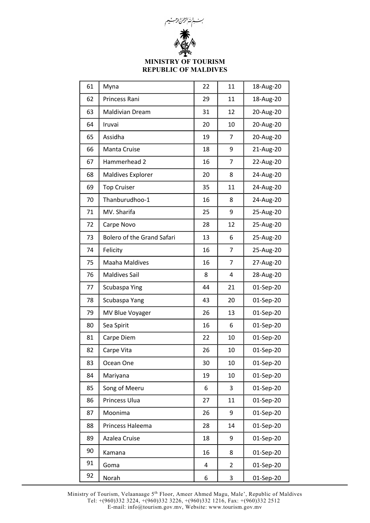

| 61 | Myna                              | 22 | 11             | 18-Aug-20 |
|----|-----------------------------------|----|----------------|-----------|
| 62 | Princess Rani                     | 29 | 11             | 18-Aug-20 |
| 63 | <b>Maldivian Dream</b>            | 31 | 12             | 20-Aug-20 |
| 64 | Iruvai                            | 20 | 10             | 20-Aug-20 |
| 65 | Assidha                           | 19 | 7              | 20-Aug-20 |
| 66 | Manta Cruise                      | 18 | 9              | 21-Aug-20 |
| 67 | Hammerhead 2                      | 16 | 7              | 22-Aug-20 |
| 68 | <b>Maldives Explorer</b>          | 20 | 8              | 24-Aug-20 |
| 69 | <b>Top Cruiser</b>                | 35 | 11             | 24-Aug-20 |
| 70 | Thanburudhoo-1                    | 16 | 8              | 24-Aug-20 |
| 71 | MV. Sharifa                       | 25 | 9              | 25-Aug-20 |
| 72 | Carpe Novo                        | 28 | 12             | 25-Aug-20 |
| 73 | <b>Bolero of the Grand Safari</b> | 13 | 6              | 25-Aug-20 |
| 74 | Felicity                          | 16 | 7              | 25-Aug-20 |
| 75 | Maaha Maldives                    | 16 | 7              | 27-Aug-20 |
| 76 | <b>Maldives Sail</b>              | 8  | 4              | 28-Aug-20 |
| 77 | Scubaspa Ying                     | 44 | 21             | 01-Sep-20 |
| 78 | Scubaspa Yang                     | 43 | 20             | 01-Sep-20 |
| 79 | <b>MV Blue Voyager</b>            | 26 | 13             | 01-Sep-20 |
| 80 | Sea Spirit                        | 16 | 6              | 01-Sep-20 |
| 81 | Carpe Diem                        | 22 | 10             | 01-Sep-20 |
| 82 | Carpe Vita                        | 26 | 10             | 01-Sep-20 |
| 83 | Ocean One                         | 30 | 10             | 01-Sep-20 |
| 84 | Mariyana                          | 19 | 10             | 01-Sep-20 |
| 85 | Song of Meeru                     | 6  | 3              | 01-Sep-20 |
| 86 | Princess Ulua                     | 27 | 11             | 01-Sep-20 |
| 87 | Moonima                           | 26 | 9              | 01-Sep-20 |
| 88 | Princess Haleema                  | 28 | 14             | 01-Sep-20 |
| 89 | Azalea Cruise                     | 18 | 9              | 01-Sep-20 |
| 90 | Kamana                            | 16 | 8              | 01-Sep-20 |
| 91 | Goma                              | 4  | $\overline{2}$ | 01-Sep-20 |
| 92 | Norah                             | 6  | 3              | 01-Sep-20 |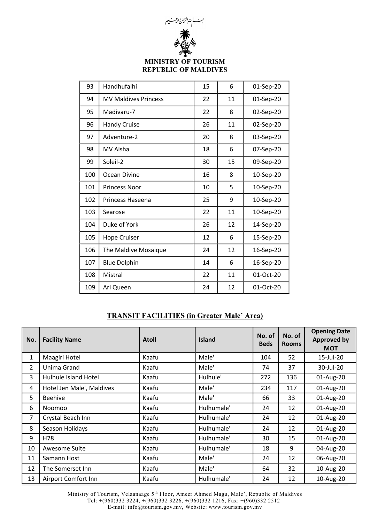

| 93  | Handhufalhi                 | 15 | 6  | 01-Sep-20 |
|-----|-----------------------------|----|----|-----------|
| 94  | <b>MV Maldives Princess</b> | 22 | 11 | 01-Sep-20 |
| 95  | Madivaru-7                  | 22 | 8  | 02-Sep-20 |
| 96  | <b>Handy Cruise</b>         | 26 | 11 | 02-Sep-20 |
| 97  | Adventure-2                 | 20 | 8  | 03-Sep-20 |
| 98  | MV Aisha                    | 18 | 6  | 07-Sep-20 |
| 99  | Soleil-2                    | 30 | 15 | 09-Sep-20 |
| 100 | Ocean Divine                | 16 | 8  | 10-Sep-20 |
| 101 | <b>Princess Noor</b>        | 10 | 5  | 10-Sep-20 |
| 102 | Princess Haseena            | 25 | 9  | 10-Sep-20 |
| 103 | Searose                     | 22 | 11 | 10-Sep-20 |
| 104 | Duke of York                | 26 | 12 | 14-Sep-20 |
| 105 | <b>Hope Cruiser</b>         | 12 | 6  | 15-Sep-20 |
| 106 | The Maldive Mosaique        | 24 | 12 | 16-Sep-20 |
| 107 | <b>Blue Dolphin</b>         | 14 | 6  | 16-Sep-20 |
| 108 | Mistral                     | 22 | 11 | 01-Oct-20 |
| 109 | Ari Queen                   | 24 | 12 | 01-Oct-20 |

# **TRANSIT FACILITIES (in Greater Male' Area)**

| No.            | <b>Facility Name</b>      | <b>Atoll</b> | <b>Island</b> | No. of<br><b>Beds</b> | No. of<br><b>Rooms</b> | <b>Opening Date</b><br><b>Approved by</b><br><b>MOT</b> |
|----------------|---------------------------|--------------|---------------|-----------------------|------------------------|---------------------------------------------------------|
| 1              | Maagiri Hotel             | Kaafu        | Male'         | 104                   | 52                     | 15-Jul-20                                               |
| $\overline{2}$ | Unima Grand               | Kaafu        | Male'         | 74                    | 37                     | 30-Jul-20                                               |
| 3              | Hulhule Island Hotel      | Kaafu        | Hulhule'      | 272                   | 136                    | 01-Aug-20                                               |
| 4              | Hotel Jen Male', Maldives | Kaafu        | Male'         | 234                   | 117                    | 01-Aug-20                                               |
| 5              | <b>Beehive</b>            | Kaafu        | Male'         | 66                    | 33                     | 01-Aug-20                                               |
| 6              | Noomoo                    | Kaafu        | Hulhumale'    | 24                    | 12                     | 01-Aug-20                                               |
| 7              | Crystal Beach Inn         | Kaafu        | Hulhumale'    | 24                    | 12                     | 01-Aug-20                                               |
| 8              | Season Holidays           | Kaafu        | Hulhumale'    | 24                    | 12                     | 01-Aug-20                                               |
| 9              | H78                       | Kaafu        | Hulhumale'    | 30                    | 15                     | 01-Aug-20                                               |
| 10             | Awesome Suite             | Kaafu        | Hulhumale'    | 18                    | 9                      | 04-Aug-20                                               |
| 11             | Samann Host               | Kaafu        | Male'         | 24                    | 12                     | 06-Aug-20                                               |
| 12             | The Somerset Inn          | Kaafu        | Male'         | 64                    | 32                     | 10-Aug-20                                               |
| 13             | Airport Comfort Inn       | Kaafu        | Hulhumale'    | 24                    | 12                     | 10-Aug-20                                               |